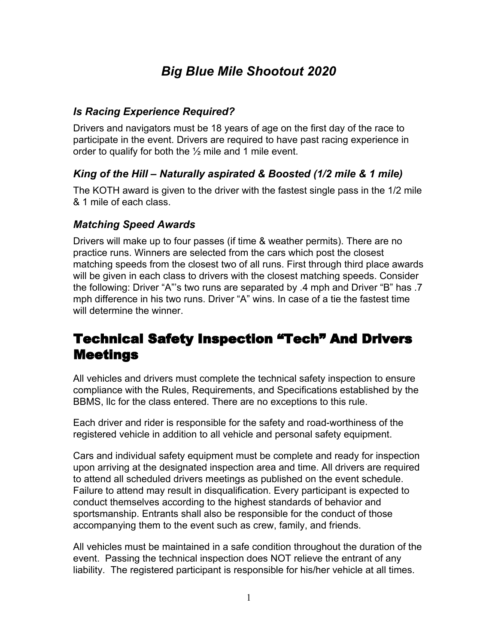# *Big Blue Mile Shootout 2020*

#### *Is Racing Experience Required?*

Drivers and navigators must be 18 years of age on the first day of the race to participate in the event. Drivers are required to have past racing experience in order to qualify for both the  $\frac{1}{2}$  mile and 1 mile event.

#### *King of the Hill – Naturally aspirated & Boosted (1/2 mile & 1 mile)*

The KOTH award is given to the driver with the fastest single pass in the 1/2 mile & 1 mile of each class.

#### *Matching Speed Awards*

Drivers will make up to four passes (if time & weather permits). There are no practice runs. Winners are selected from the cars which post the closest matching speeds from the closest two of all runs. First through third place awards will be given in each class to drivers with the closest matching speeds. Consider the following: Driver "A"'s two runs are separated by .4 mph and Driver "B" has .7 mph difference in his two runs. Driver "A" wins. In case of a tie the fastest time will determine the winner.

### Technical Safety Inspection "Tech" And Drivers Meetings

All vehicles and drivers must complete the technical safety inspection to ensure compliance with the Rules, Requirements, and Specifications established by the BBMS, llc for the class entered. There are no exceptions to this rule.

Each driver and rider is responsible for the safety and road-worthiness of the registered vehicle in addition to all vehicle and personal safety equipment.

Cars and individual safety equipment must be complete and ready for inspection upon arriving at the designated inspection area and time. All drivers are required to attend all scheduled drivers meetings as published on the event schedule. Failure to attend may result in disqualification. Every participant is expected to conduct themselves according to the highest standards of behavior and sportsmanship. Entrants shall also be responsible for the conduct of those accompanying them to the event such as crew, family, and friends.

All vehicles must be maintained in a safe condition throughout the duration of the event. Passing the technical inspection does NOT relieve the entrant of any liability. The registered participant is responsible for his/her vehicle at all times.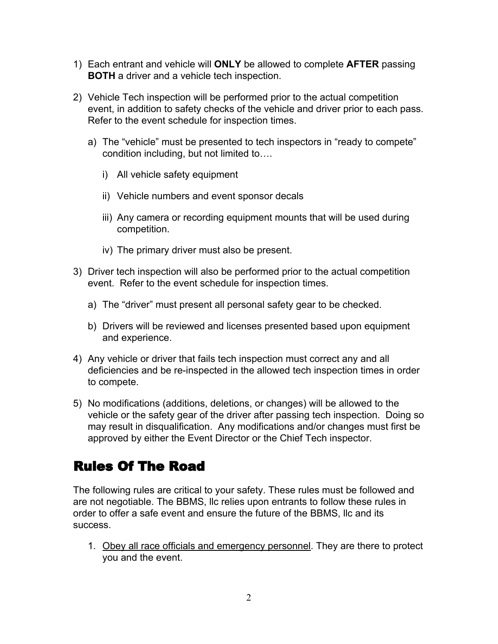- 1) Each entrant and vehicle will **ONLY** be allowed to complete **AFTER** passing **BOTH** a driver and a vehicle tech inspection.
- 2) Vehicle Tech inspection will be performed prior to the actual competition event, in addition to safety checks of the vehicle and driver prior to each pass. Refer to the event schedule for inspection times.
	- a) The "vehicle" must be presented to tech inspectors in "ready to compete" condition including, but not limited to….
		- i) All vehicle safety equipment
		- ii) Vehicle numbers and event sponsor decals
		- iii) Any camera or recording equipment mounts that will be used during competition.
		- iv) The primary driver must also be present.
- 3) Driver tech inspection will also be performed prior to the actual competition event. Refer to the event schedule for inspection times.
	- a) The "driver" must present all personal safety gear to be checked.
	- b) Drivers will be reviewed and licenses presented based upon equipment and experience.
- 4) Any vehicle or driver that fails tech inspection must correct any and all deficiencies and be re-inspected in the allowed tech inspection times in order to compete.
- 5) No modifications (additions, deletions, or changes) will be allowed to the vehicle or the safety gear of the driver after passing tech inspection. Doing so may result in disqualification. Any modifications and/or changes must first be approved by either the Event Director or the Chief Tech inspector.

### Rules Of The Road

The following rules are critical to your safety. These rules must be followed and are not negotiable. The BBMS, llc relies upon entrants to follow these rules in order to offer a safe event and ensure the future of the BBMS, llc and its success.

1. Obey all race officials and emergency personnel. They are there to protect you and the event.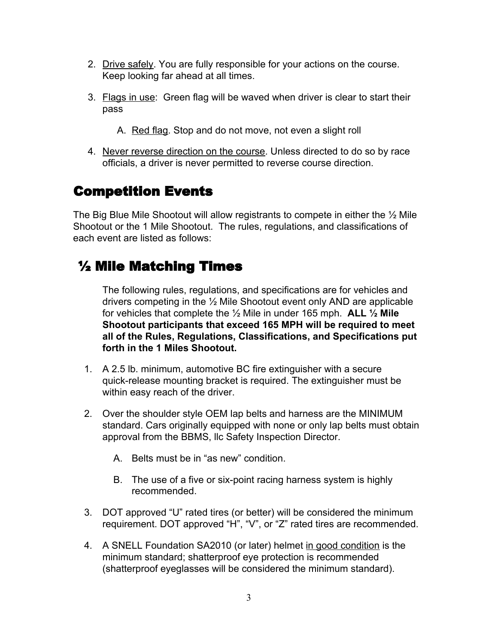- 2. Drive safely. You are fully responsible for your actions on the course. Keep looking far ahead at all times.
- 3. Flags in use: Green flag will be waved when driver is clear to start their pass
	- A. Red flag. Stop and do not move, not even a slight roll
- 4. Never reverse direction on the course. Unless directed to do so by race officials, a driver is never permitted to reverse course direction.

### Competition Events

The Big Blue Mile Shootout will allow registrants to compete in either the ½ Mile Shootout or the 1 Mile Shootout. The rules, regulations, and classifications of each event are listed as follows:

# ½ Mile Matching Times

The following rules, regulations, and specifications are for vehicles and drivers competing in the ½ Mile Shootout event only AND are applicable for vehicles that complete the ½ Mile in under 165 mph. **ALL ½ Mile Shootout participants that exceed 165 MPH will be required to meet all of the Rules, Regulations, Classifications, and Specifications put forth in the 1 Miles Shootout.**

- 1. A 2.5 lb. minimum, automotive BC fire extinguisher with a secure quick-release mounting bracket is required. The extinguisher must be within easy reach of the driver.
- 2. Over the shoulder style OEM lap belts and harness are the MINIMUM standard. Cars originally equipped with none or only lap belts must obtain approval from the BBMS, llc Safety Inspection Director.
	- A. Belts must be in "as new" condition.
	- B. The use of a five or six-point racing harness system is highly recommended.
- 3. DOT approved "U" rated tires (or better) will be considered the minimum requirement. DOT approved "H", "V", or "Z" rated tires are recommended.
- 4. A SNELL Foundation SA2010 (or later) helmet in good condition is the minimum standard; shatterproof eye protection is recommended (shatterproof eyeglasses will be considered the minimum standard).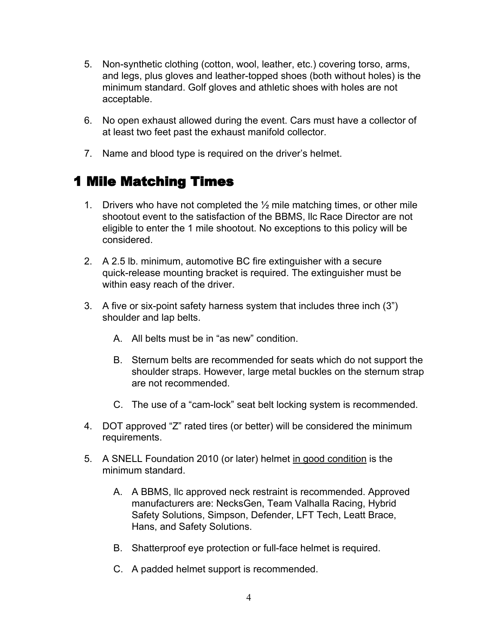- 5. Non-synthetic clothing (cotton, wool, leather, etc.) covering torso, arms, and legs, plus gloves and leather-topped shoes (both without holes) is the minimum standard. Golf gloves and athletic shoes with holes are not acceptable.
- 6. No open exhaust allowed during the event. Cars must have a collector of at least two feet past the exhaust manifold collector.
- 7. Name and blood type is required on the driver's helmet.

### 1 Mile Matching Times

- 1. Drivers who have not completed the  $\frac{1}{2}$  mile matching times, or other mile shootout event to the satisfaction of the BBMS, llc Race Director are not eligible to enter the 1 mile shootout. No exceptions to this policy will be considered.
- 2. A 2.5 lb. minimum, automotive BC fire extinguisher with a secure quick-release mounting bracket is required. The extinguisher must be within easy reach of the driver.
- 3. A five or six-point safety harness system that includes three inch (3") shoulder and lap belts.
	- A. All belts must be in "as new" condition.
	- B. Sternum belts are recommended for seats which do not support the shoulder straps. However, large metal buckles on the sternum strap are not recommended.
	- C. The use of a "cam-lock" seat belt locking system is recommended.
- 4. DOT approved "Z" rated tires (or better) will be considered the minimum requirements.
- 5. A SNELL Foundation 2010 (or later) helmet in good condition is the minimum standard.
	- A. A BBMS, llc approved neck restraint is recommended. Approved manufacturers are: NecksGen, Team Valhalla Racing, Hybrid Safety Solutions, Simpson, Defender, LFT Tech, Leatt Brace, Hans, and Safety Solutions.
	- B. Shatterproof eye protection or full-face helmet is required.
	- C. A padded helmet support is recommended.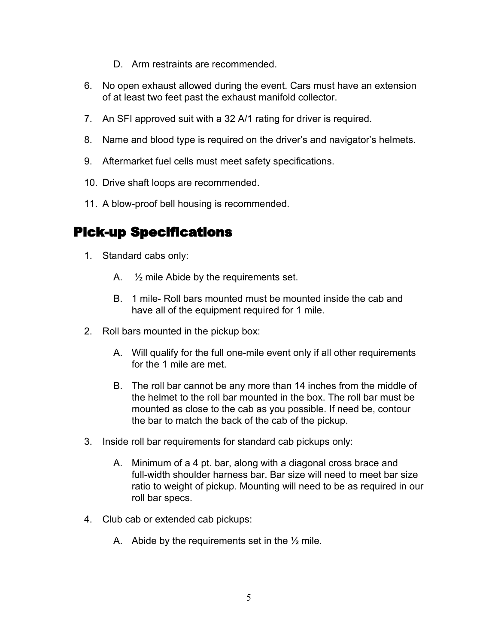- D. Arm restraints are recommended.
- 6. No open exhaust allowed during the event. Cars must have an extension of at least two feet past the exhaust manifold collector.
- 7. An SFI approved suit with a 32 A/1 rating for driver is required.
- 8. Name and blood type is required on the driver's and navigator's helmets.
- 9. Aftermarket fuel cells must meet safety specifications.
- 10. Drive shaft loops are recommended.
- 11. A blow-proof bell housing is recommended.

#### Pick-up Specifications

- 1. Standard cabs only:
	- A. ½ mile Abide by the requirements set.
	- B. 1 mile- Roll bars mounted must be mounted inside the cab and have all of the equipment required for 1 mile.
- 2. Roll bars mounted in the pickup box:
	- A. Will qualify for the full one-mile event only if all other requirements for the 1 mile are met.
	- B. The roll bar cannot be any more than 14 inches from the middle of the helmet to the roll bar mounted in the box. The roll bar must be mounted as close to the cab as you possible. If need be, contour the bar to match the back of the cab of the pickup.
- 3. Inside roll bar requirements for standard cab pickups only:
	- A. Minimum of a 4 pt. bar, along with a diagonal cross brace and full-width shoulder harness bar. Bar size will need to meet bar size ratio to weight of pickup. Mounting will need to be as required in our roll bar specs.
- 4. Club cab or extended cab pickups:
	- A. Abide by the requirements set in the  $\frac{1}{2}$  mile.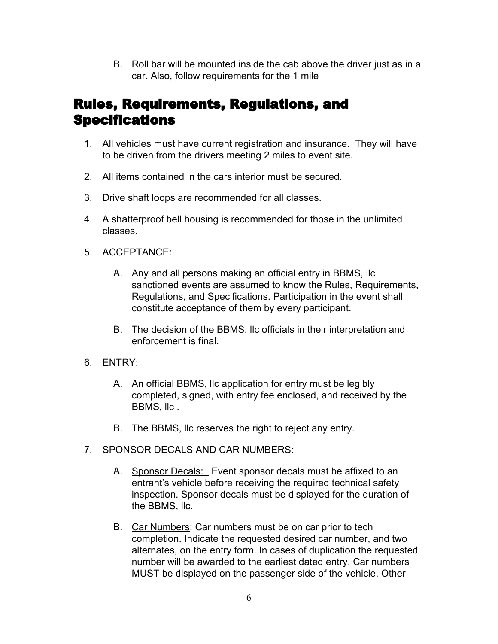B. Roll bar will be mounted inside the cab above the driver just as in a car. Also, follow requirements for the 1 mile

### Rules, Requirements, Regulations, and **Specifications**

- 1. All vehicles must have current registration and insurance. They will have to be driven from the drivers meeting 2 miles to event site.
- 2. All items contained in the cars interior must be secured.
- 3. Drive shaft loops are recommended for all classes.
- 4. A shatterproof bell housing is recommended for those in the unlimited classes.
- 5. ACCEPTANCE:
	- A. Any and all persons making an official entry in BBMS, llc sanctioned events are assumed to know the Rules, Requirements, Regulations, and Specifications. Participation in the event shall constitute acceptance of them by every participant.
	- B. The decision of the BBMS, llc officials in their interpretation and enforcement is final.
- 6. ENTRY:
	- A. An official BBMS, llc application for entry must be legibly completed, signed, with entry fee enclosed, and received by the BBMS, llc .
	- B. The BBMS, llc reserves the right to reject any entry.
- 7. SPONSOR DECALS AND CAR NUMBERS:
	- A. Sponsor Decals: Event sponsor decals must be affixed to an entrant's vehicle before receiving the required technical safety inspection. Sponsor decals must be displayed for the duration of the BBMS, llc.
	- B. Car Numbers: Car numbers must be on car prior to tech completion. Indicate the requested desired car number, and two alternates, on the entry form. In cases of duplication the requested number will be awarded to the earliest dated entry. Car numbers MUST be displayed on the passenger side of the vehicle. Other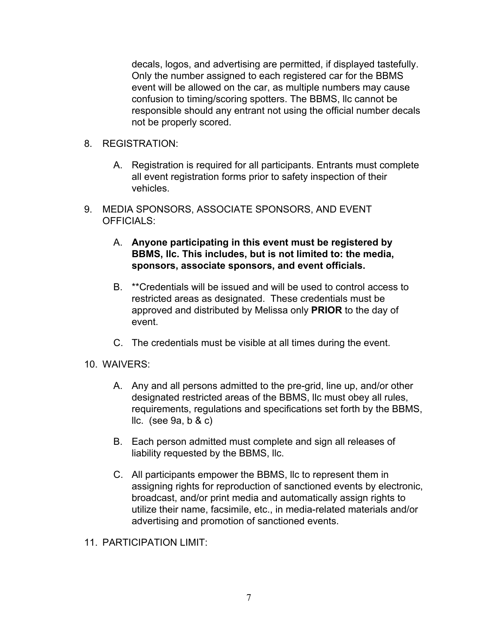decals, logos, and advertising are permitted, if displayed tastefully. Only the number assigned to each registered car for the BBMS event will be allowed on the car, as multiple numbers may cause confusion to timing/scoring spotters. The BBMS, llc cannot be responsible should any entrant not using the official number decals not be properly scored.

- 8. REGISTRATION:
	- A. Registration is required for all participants. Entrants must complete all event registration forms prior to safety inspection of their vehicles.
- 9. MEDIA SPONSORS, ASSOCIATE SPONSORS, AND EVENT OFFICIALS:
	- A. **Anyone participating in this event must be registered by BBMS, llc. This includes, but is not limited to: the media, sponsors, associate sponsors, and event officials.**
	- B. \*\*Credentials will be issued and will be used to control access to restricted areas as designated. These credentials must be approved and distributed by Melissa only **PRIOR** to the day of event.
	- C. The credentials must be visible at all times during the event.
- 10. WAIVERS:
	- A. Any and all persons admitted to the pre-grid, line up, and/or other designated restricted areas of the BBMS, llc must obey all rules, requirements, regulations and specifications set forth by the BBMS, llc. (see 9a, b & c)
	- B. Each person admitted must complete and sign all releases of liability requested by the BBMS, llc.
	- C. All participants empower the BBMS, llc to represent them in assigning rights for reproduction of sanctioned events by electronic, broadcast, and/or print media and automatically assign rights to utilize their name, facsimile, etc., in media-related materials and/or advertising and promotion of sanctioned events.
- 11. PARTICIPATION LIMIT: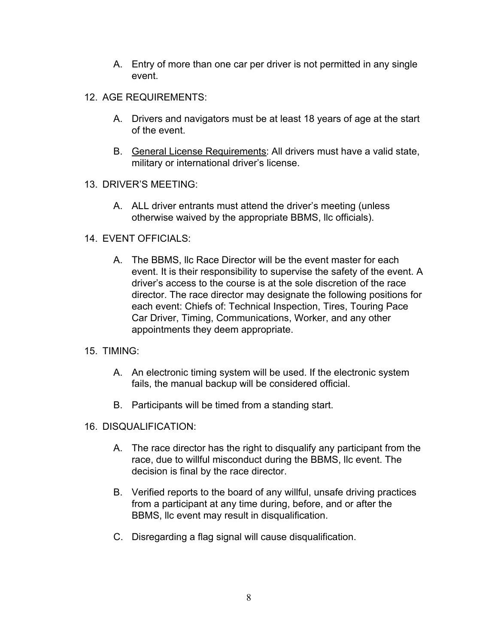- A. Entry of more than one car per driver is not permitted in any single event.
- 12. AGE REQUIREMENTS:
	- A. Drivers and navigators must be at least 18 years of age at the start of the event.
	- B. General License Requirements: All drivers must have a valid state, military or international driver's license.
- 13. DRIVER'S MEETING:
	- A. ALL driver entrants must attend the driver's meeting (unless otherwise waived by the appropriate BBMS, llc officials).
- 14. EVENT OFFICIALS:
	- A. The BBMS, llc Race Director will be the event master for each event. It is their responsibility to supervise the safety of the event. A driver's access to the course is at the sole discretion of the race director. The race director may designate the following positions for each event: Chiefs of: Technical Inspection, Tires, Touring Pace Car Driver, Timing, Communications, Worker, and any other appointments they deem appropriate.
- 15. TIMING:
	- A. An electronic timing system will be used. If the electronic system fails, the manual backup will be considered official.
	- B. Participants will be timed from a standing start.
- 16. DISQUALIFICATION:
	- A. The race director has the right to disqualify any participant from the race, due to willful misconduct during the BBMS, llc event. The decision is final by the race director.
	- B. Verified reports to the board of any willful, unsafe driving practices from a participant at any time during, before, and or after the BBMS, llc event may result in disqualification.
	- C. Disregarding a flag signal will cause disqualification.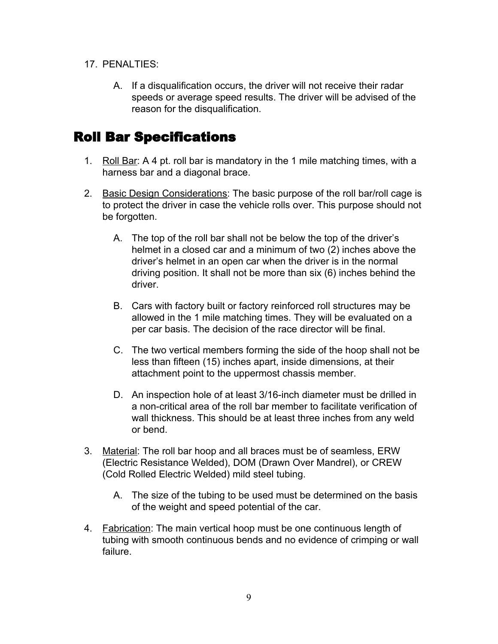- 17. PENALTIES:
	- A. If a disqualification occurs, the driver will not receive their radar speeds or average speed results. The driver will be advised of the reason for the disqualification.

### Roll Bar Specifications

- 1. Roll Bar: A 4 pt. roll bar is mandatory in the 1 mile matching times, with a harness bar and a diagonal brace.
- 2. Basic Design Considerations: The basic purpose of the roll bar/roll cage is to protect the driver in case the vehicle rolls over. This purpose should not be forgotten.
	- A. The top of the roll bar shall not be below the top of the driver's helmet in a closed car and a minimum of two (2) inches above the driver's helmet in an open car when the driver is in the normal driving position. It shall not be more than six (6) inches behind the driver.
	- B. Cars with factory built or factory reinforced roll structures may be allowed in the 1 mile matching times. They will be evaluated on a per car basis. The decision of the race director will be final.
	- C. The two vertical members forming the side of the hoop shall not be less than fifteen (15) inches apart, inside dimensions, at their attachment point to the uppermost chassis member.
	- D. An inspection hole of at least 3/16-inch diameter must be drilled in a non-critical area of the roll bar member to facilitate verification of wall thickness. This should be at least three inches from any weld or bend.
- 3. Material: The roll bar hoop and all braces must be of seamless, ERW (Electric Resistance Welded), DOM (Drawn Over Mandrel), or CREW (Cold Rolled Electric Welded) mild steel tubing.
	- A. The size of the tubing to be used must be determined on the basis of the weight and speed potential of the car.
- 4. Fabrication: The main vertical hoop must be one continuous length of tubing with smooth continuous bends and no evidence of crimping or wall failure.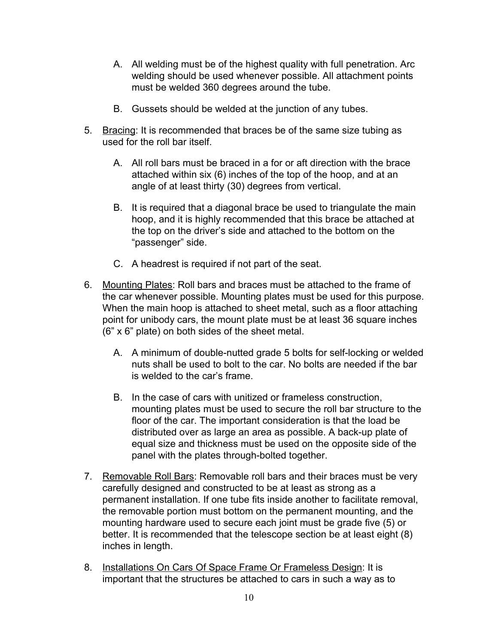- A. All welding must be of the highest quality with full penetration. Arc welding should be used whenever possible. All attachment points must be welded 360 degrees around the tube.
- B. Gussets should be welded at the junction of any tubes.
- 5. Bracing: It is recommended that braces be of the same size tubing as used for the roll bar itself.
	- A. All roll bars must be braced in a for or aft direction with the brace attached within six (6) inches of the top of the hoop, and at an angle of at least thirty (30) degrees from vertical.
	- B. It is required that a diagonal brace be used to triangulate the main hoop, and it is highly recommended that this brace be attached at the top on the driver's side and attached to the bottom on the "passenger" side.
	- C. A headrest is required if not part of the seat.
- 6. Mounting Plates: Roll bars and braces must be attached to the frame of the car whenever possible. Mounting plates must be used for this purpose. When the main hoop is attached to sheet metal, such as a floor attaching point for unibody cars, the mount plate must be at least 36 square inches (6" x 6" plate) on both sides of the sheet metal.
	- A. A minimum of double-nutted grade 5 bolts for self-locking or welded nuts shall be used to bolt to the car. No bolts are needed if the bar is welded to the car's frame.
	- B. In the case of cars with unitized or frameless construction, mounting plates must be used to secure the roll bar structure to the floor of the car. The important consideration is that the load be distributed over as large an area as possible. A back-up plate of equal size and thickness must be used on the opposite side of the panel with the plates through-bolted together.
- 7. Removable Roll Bars: Removable roll bars and their braces must be very carefully designed and constructed to be at least as strong as a permanent installation. If one tube fits inside another to facilitate removal, the removable portion must bottom on the permanent mounting, and the mounting hardware used to secure each joint must be grade five (5) or better. It is recommended that the telescope section be at least eight (8) inches in length.
- 8. Installations On Cars Of Space Frame Or Frameless Design: It is important that the structures be attached to cars in such a way as to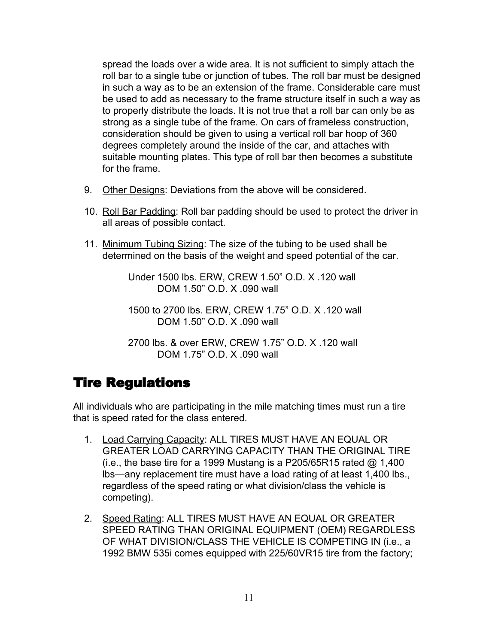spread the loads over a wide area. It is not sufficient to simply attach the roll bar to a single tube or junction of tubes. The roll bar must be designed in such a way as to be an extension of the frame. Considerable care must be used to add as necessary to the frame structure itself in such a way as to properly distribute the loads. It is not true that a roll bar can only be as strong as a single tube of the frame. On cars of frameless construction, consideration should be given to using a vertical roll bar hoop of 360 degrees completely around the inside of the car, and attaches with suitable mounting plates. This type of roll bar then becomes a substitute for the frame.

- 9. Other Designs: Deviations from the above will be considered.
- 10. Roll Bar Padding: Roll bar padding should be used to protect the driver in all areas of possible contact.
- 11. Minimum Tubing Sizing: The size of the tubing to be used shall be determined on the basis of the weight and speed potential of the car.

Under 1500 lbs. ERW, CREW 1.50" O.D. X .120 wall DOM 1.50" O.D. X .090 wall

1500 to 2700 lbs. ERW, CREW 1.75" O.D. X .120 wall DOM 1.50" O.D. X .090 wall

2700 lbs. & over ERW, CREW 1.75" O.D. X .120 wall DOM 1.75" O.D. X .090 wall

# Tire Regulations

All individuals who are participating in the mile matching times must run a tire that is speed rated for the class entered.

- 1. Load Carrying Capacity: ALL TIRES MUST HAVE AN EQUAL OR GREATER LOAD CARRYING CAPACITY THAN THE ORIGINAL TIRE (i.e., the base tire for a 1999 Mustang is a P205/65R15 rated  $@$  1,400 lbs—any replacement tire must have a load rating of at least 1,400 lbs., regardless of the speed rating or what division/class the vehicle is competing).
- 2. Speed Rating: ALL TIRES MUST HAVE AN EQUAL OR GREATER SPEED RATING THAN ORIGINAL EQUIPMENT (OEM) REGARDLESS OF WHAT DIVISION/CLASS THE VEHICLE IS COMPETING IN (i.e., a 1992 BMW 535i comes equipped with 225/60VR15 tire from the factory;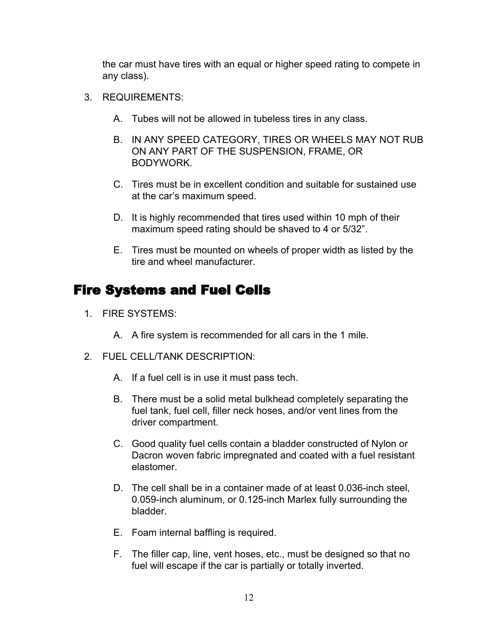the car must have tires with an equal or higher speed rating to compete in any class).

- 3. REQUIREMENTS:
	- A. Tubes will not be allowed in tubeless tires in any class.
	- B. IN ANY SPEED CATEGORY, TIRES OR WHEELS MAY NOT RUB ON ANY PART OF THE SUSPENSION, FRAME, OR BODYWORK.
	- C. Tires must be in excellent condition and suitable for sustained use at the car's maximum speed.
	- D. It is highly recommended that tires used within 10 mph of their maximum speed rating should be shaved to 4 or 5/32".
	- E. Tires must be mounted on wheels of proper width as listed by the tire and wheel manufacturer.

### Fire Systems and Fuel Cells

- 1. FIRE SYSTEMS:
	- A. A fire system is recommended for all cars in the 1 mile.
- 2. FUEL CELL/TANK DESCRIPTION:
	- A. If a fuel cell is in use it must pass tech.
	- B. There must be a solid metal bulkhead completely separating the fuel tank, fuel cell, filler neck hoses, and/or vent lines from the driver compartment.
	- C. Good quality fuel cells contain a bladder constructed of Nylon or Dacron woven fabric impregnated and coated with a fuel resistant elastomer.
	- D. The cell shall be in a container made of at least 0.036-inch steel, 0.059-inch aluminum, or 0.125-inch Marlex fully surrounding the bladder.
	- E. Foam internal baffling is required.
	- F. The filler cap, line, vent hoses, etc., must be designed so that no fuel will escape if the car is partially or totally inverted.